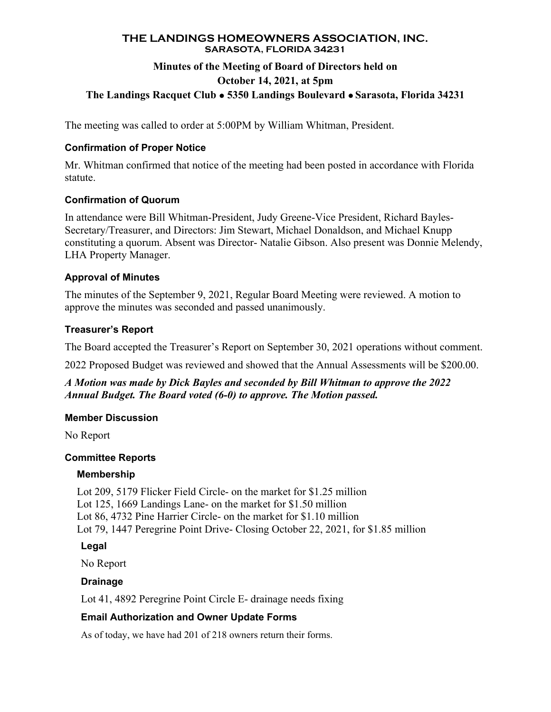#### **THE LANDINGS HOMEOWNERS ASSOCIATION, INC. SARASOTA, FLORIDA 34231**

## **Minutes of the Meeting of Board of Directors held on October 14, 2021, at 5pm The Landings Racquet Club 5350 Landings Boulevard Sarasota, Florida 34231**

The meeting was called to order at 5:00PM by William Whitman, President.

## **Confirmation of Proper Notice**

Mr. Whitman confirmed that notice of the meeting had been posted in accordance with Florida statute.

## **Confirmation of Quorum**

In attendance were Bill Whitman-President, Judy Greene-Vice President, Richard Bayles-Secretary/Treasurer, and Directors: Jim Stewart, Michael Donaldson, and Michael Knupp constituting a quorum. Absent was Director- Natalie Gibson. Also present was Donnie Melendy, LHA Property Manager.

## **Approval of Minutes**

The minutes of the September 9, 2021, Regular Board Meeting were reviewed. A motion to approve the minutes was seconded and passed unanimously.

## **Treasurer's Report**

The Board accepted the Treasurer's Report on September 30, 2021 operations without comment.

2022 Proposed Budget was reviewed and showed that the Annual Assessments will be \$200.00.

*A Motion was made by Dick Bayles and seconded by Bill Whitman to approve the 2022 Annual Budget. The Board voted (6-0) to approve. The Motion passed.* 

### **Member Discussion**

No Report

# **Committee Reports**

### **Membership**

Lot 209, 5179 Flicker Field Circle- on the market for \$1.25 million Lot 125, 1669 Landings Lane- on the market for \$1.50 million Lot 86, 4732 Pine Harrier Circle- on the market for \$1.10 million Lot 79, 1447 Peregrine Point Drive- Closing October 22, 2021, for \$1.85 million

# **Legal**

No Report

### **Drainage**

Lot 41, 4892 Peregrine Point Circle E- drainage needs fixing

# **Email Authorization and Owner Update Forms**

As of today, we have had 201 of 218 owners return their forms.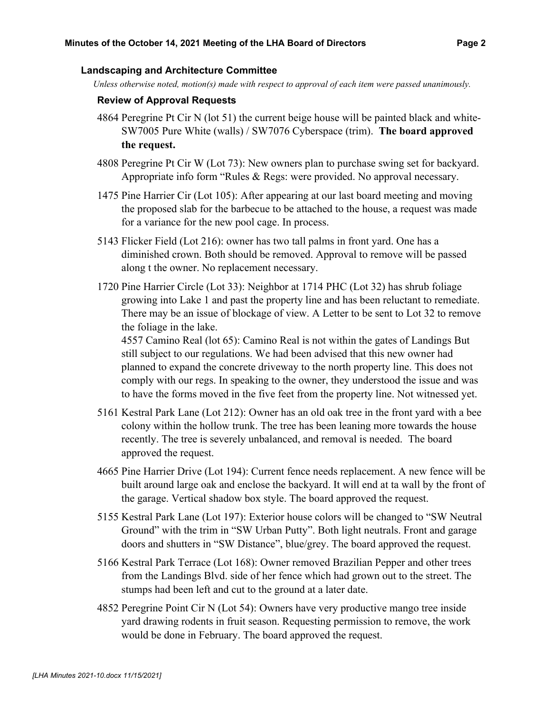#### **Landscaping and Architecture Committee**

*Unless otherwise noted, motion(s) made with respect to approval of each item were passed unanimously.* 

#### **Review of Approval Requests**

- 4864 Peregrine Pt Cir N (lot 51) the current beige house will be painted black and white-SW7005 Pure White (walls) / SW7076 Cyberspace (trim). **The board approved the request.**
- 4808 Peregrine Pt Cir W (Lot 73): New owners plan to purchase swing set for backyard. Appropriate info form "Rules & Regs: were provided. No approval necessary.
- 1475 Pine Harrier Cir (Lot 105): After appearing at our last board meeting and moving the proposed slab for the barbecue to be attached to the house, a request was made for a variance for the new pool cage. In process.
- 5143 Flicker Field (Lot 216): owner has two tall palms in front yard. One has a diminished crown. Both should be removed. Approval to remove will be passed along t the owner. No replacement necessary.
- 1720 Pine Harrier Circle (Lot 33): Neighbor at 1714 PHC (Lot 32) has shrub foliage growing into Lake 1 and past the property line and has been reluctant to remediate. There may be an issue of blockage of view. A Letter to be sent to Lot 32 to remove the foliage in the lake.

4557 Camino Real (lot 65): Camino Real is not within the gates of Landings But still subject to our regulations. We had been advised that this new owner had planned to expand the concrete driveway to the north property line. This does not comply with our regs. In speaking to the owner, they understood the issue and was to have the forms moved in the five feet from the property line. Not witnessed yet.

- 5161 Kestral Park Lane (Lot 212): Owner has an old oak tree in the front yard with a bee colony within the hollow trunk. The tree has been leaning more towards the house recently. The tree is severely unbalanced, and removal is needed. The board approved the request.
- 4665 Pine Harrier Drive (Lot 194): Current fence needs replacement. A new fence will be built around large oak and enclose the backyard. It will end at ta wall by the front of the garage. Vertical shadow box style. The board approved the request.
- 5155 Kestral Park Lane (Lot 197): Exterior house colors will be changed to "SW Neutral Ground" with the trim in "SW Urban Putty". Both light neutrals. Front and garage doors and shutters in "SW Distance", blue/grey. The board approved the request.
- 5166 Kestral Park Terrace (Lot 168): Owner removed Brazilian Pepper and other trees from the Landings Blvd. side of her fence which had grown out to the street. The stumps had been left and cut to the ground at a later date.
- 4852 Peregrine Point Cir N (Lot 54): Owners have very productive mango tree inside yard drawing rodents in fruit season. Requesting permission to remove, the work would be done in February. The board approved the request.